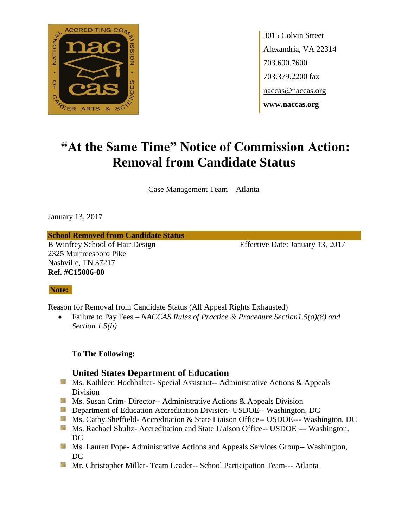

# **"At the Same Time" Notice of Commission Action: Removal from Candidate Status**

Case Management Team – Atlanta

January 13, 2017

**School Removed from Candidate Status**

B Winfrey School of Hair Design Effective Date: January 13, 2017 2325 Murfreesboro Pike Nashville, TN 37217 **Ref. #C15006-00**

#### **Note:**

Reason for Removal from Candidate Status (All Appeal Rights Exhausted)

 Failure to Pay Fees – *NACCAS Rules of Practice & Procedure Section1.5(a)(8) and Section 1.5(b)*

**To The Following:**

- **Ms. Kathleen Hochhalter- Special Assistant-- Administrative Actions & Appeals** Division
- **Ms.** Susan Crim-Director-- Administrative Actions  $\&$  Appeals Division
- **Example 20 Interversity Department of Education Accreditation Division- USDOE-- Washington, DC**
- Ms. Cathy Sheffield- Accreditation & State Liaison Office-- USDOE--- Washington, DC
- **Ms. Rachael Shultz- Accreditation and State Liaison Office-- USDOE --- Washington,** DC
- **Ms. Lauren Pope- Administrative Actions and Appeals Services Group-- Washington,** DC
- **Mr. Christopher Miller-Team Leader-- School Participation Team--- Atlanta**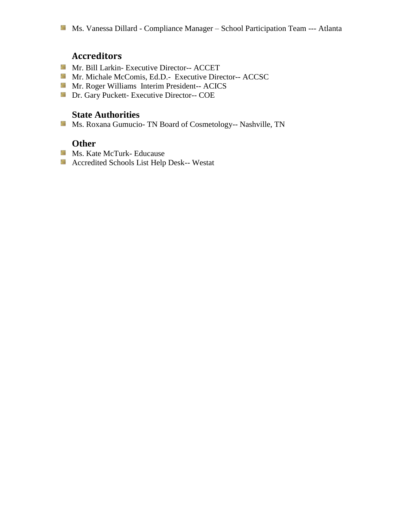- Mr. Bill Larkin- Executive Director-- ACCET
- Mr. Michale McComis, Ed.D.- Executive Director-- ACCSC
- Mr. Roger Williams Interim President-- ACICS
- **Dr.** Gary Puckett- Executive Director-- COE

### **State Authorities**

Ms. Roxana Gumucio- TN Board of Cosmetology-- Nashville, TN

- **Ms. Kate McTurk- Educause**
- Accredited Schools List Help Desk-- Westat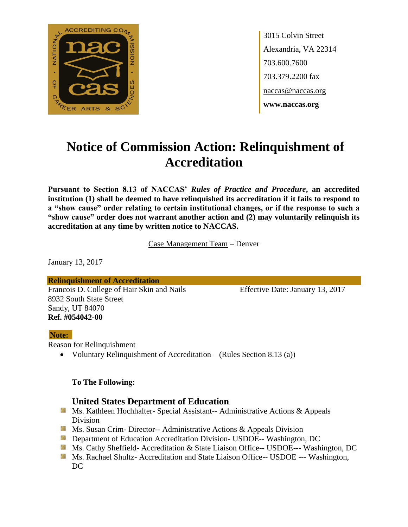

# **Notice of Commission Action: Relinquishment of Accreditation**

**Pursuant to Section 8.13 of NACCAS'** *Rules of Practice and Procedure***, an accredited institution (1) shall be deemed to have relinquished its accreditation if it fails to respond to a "show cause" order relating to certain institutional changes, or if the response to such a "show cause" order does not warrant another action and (2) may voluntarily relinquish its accreditation at any time by written notice to NACCAS.**

Case Management Team – Denver

January 13, 2017

**Relinquishment of Accreditation** Francois D. College of Hair Skin and Nails Effective Date: January 13, 2017 8932 South State Street Sandy, UT 84070 **Ref. #054042-00**

#### **Note:**

Reason for Relinquishment

Voluntary Relinquishment of Accreditation – (Rules Section 8.13 (a))

#### **To The Following:**

- **Ms. Kathleen Hochhalter- Special Assistant-- Administrative Actions & Appeals** Division
- **Ms. Susan Crim- Director-- Administrative Actions & Appeals Division**
- **Department of Education Accreditation Division- USDOE-- Washington, DC**
- Ms. Cathy Sheffield- Accreditation & State Liaison Office-- USDOE--- Washington, DC
- **MS. Rachael Shultz- Accreditation and State Liaison Office-- USDOE --- Washington,** DC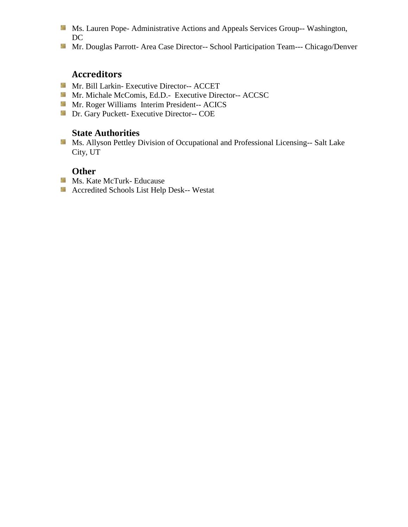- Ms. Lauren Pope- Administrative Actions and Appeals Services Group-- Washington, DC
- Mr. Douglas Parrott- Area Case Director-- School Participation Team--- Chicago/Denver

- Mr. Bill Larkin- Executive Director-- ACCET
- Mr. Michale McComis, Ed.D.- Executive Director-- ACCSC
- **Mr. Roger Williams Interim President-- ACICS**
- **Dr.** Gary Puckett- Executive Director-- COE

## **State Authorities**

**Ms. Allyson Pettley Division of Occupational and Professional Licensing-- Salt Lake** City, UT

- **Ms. Kate McTurk- Educause**
- Accredited Schools List Help Desk-- Westat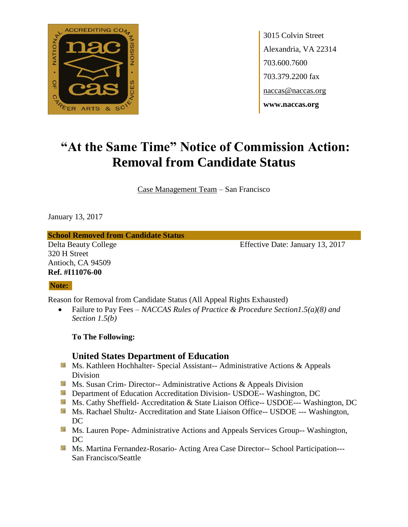

# **"At the Same Time" Notice of Commission Action: Removal from Candidate Status**

Case Management Team – San Francisco

January 13, 2017

**School Removed from Candidate Status**

320 H Street Antioch, CA 94509 **Ref. #I11076-00**

Delta Beauty College Effective Date: January 13, 2017

#### **Note:**

Reason for Removal from Candidate Status (All Appeal Rights Exhausted)

 Failure to Pay Fees – *NACCAS Rules of Practice & Procedure Section1.5(a)(8) and Section 1.5(b)*

**To The Following:**

- **Ms. Kathleen Hochhalter- Special Assistant-- Administrative Actions & Appeals** Division
- **Ms. Susan Crim- Director-- Administrative Actions & Appeals Division**
- **Department of Education Accreditation Division- USDOE-- Washington, DC**
- Ms. Cathy Sheffield- Accreditation & State Liaison Office-- USDOE--- Washington, DC
- **MS. Rachael Shultz- Accreditation and State Liaison Office-- USDOE --- Washington,** DC
- **Ms. Lauren Pope- Administrative Actions and Appeals Services Group-- Washington,** DC
- Ms. Martina Fernandez-Rosario- Acting Area Case Director-- School Participation---San Francisco/Seattle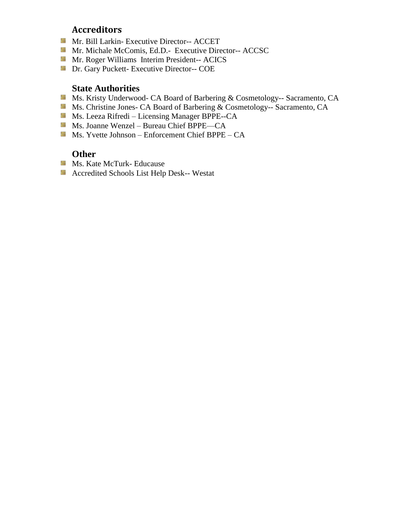- **Mr. Bill Larkin- Executive Director-- ACCET**
- **Mr. Michale McComis, Ed.D.- Executive Director-- ACCSC**
- **Mr. Roger Williams Interim President-- ACICS**
- **Dr. Gary Puckett- Executive Director-- COE**

#### **State Authorities**

- Ms. Kristy Underwood- CA Board of Barbering & Cosmetology-- Sacramento, CA
- Ms. Christine Jones- CA Board of Barbering & Cosmetology-- Sacramento, CA
- Ms. Leeza Rifredi Licensing Manager BPPE--CA
- Ms. Joanne Wenzel Bureau Chief BPPE—CA
- Ms. Yvette Johnson Enforcement Chief BPPE  $CA$

- **Ms. Kate McTurk- Educause**
- Accredited Schools List Help Desk-- Westat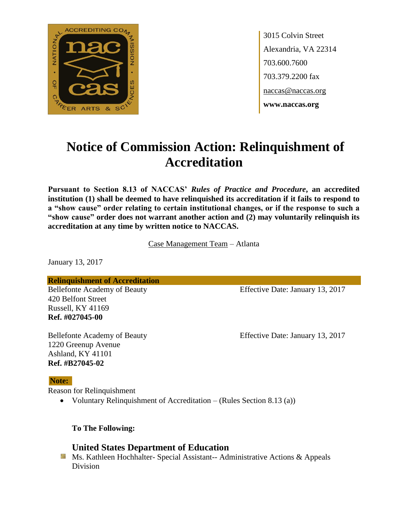

# **Notice of Commission Action: Relinquishment of Accreditation**

**Pursuant to Section 8.13 of NACCAS'** *Rules of Practice and Procedure***, an accredited institution (1) shall be deemed to have relinquished its accreditation if it fails to respond to a "show cause" order relating to certain institutional changes, or if the response to such a "show cause" order does not warrant another action and (2) may voluntarily relinquish its accreditation at any time by written notice to NACCAS.**

Case Management Team – Atlanta

January 13, 2017

**Relinquishment of Accreditation**

420 Belfont Street Russell, KY 41169 **Ref. #027045-00**

1220 Greenup Avenue Ashland, KY 41101 **Ref. #B27045-02**

#### **Note:**

Reason for Relinquishment

Voluntary Relinquishment of Accreditation – (Rules Section 8.13 (a))

**To The Following:**

#### **United States Department of Education**

Ms. Kathleen Hochhalter- Special Assistant-- Administrative Actions & Appeals Division

Bellefonte Academy of Beauty Effective Date: January 13, 2017

Bellefonte Academy of Beauty Effective Date: January 13, 2017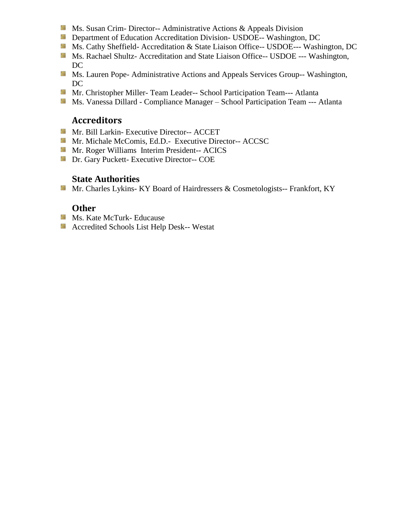- **Ms.** Susan Crim-Director-- Administrative Actions  $\&$  Appeals Division
- **Department of Education Accreditation Division- USDOE-- Washington, DC**
- Ms. Cathy Sheffield- Accreditation & State Liaison Office-- USDOE--- Washington, DC
- Ms. Rachael Shultz- Accreditation and State Liaison Office-- USDOE --- Washington, DC
- **Ms. Lauren Pope- Administrative Actions and Appeals Services Group-- Washington,** DC
- Mr. Christopher Miller- Team Leader-- School Participation Team--- Atlanta
- Ms. Vanessa Dillard Compliance Manager School Participation Team --- Atlanta

- Mr. Bill Larkin- Executive Director-- ACCET
- Mr. Michale McComis, Ed.D.- Executive Director-- ACCSC
- **Mr. Roger Williams Interim President-- ACICS**
- **Dr.** Gary Puckett- Executive Director-- COE

## **State Authorities**

Mr. Charles Lykins- KY Board of Hairdressers & Cosmetologists-- Frankfort, KY

- **Ms. Kate McTurk- Educause**
- **Accredited Schools List Help Desk-- Westat**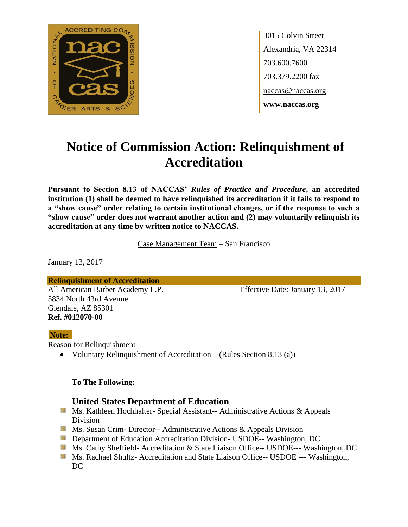

# **Notice of Commission Action: Relinquishment of Accreditation**

**Pursuant to Section 8.13 of NACCAS'** *Rules of Practice and Procedure***, an accredited institution (1) shall be deemed to have relinquished its accreditation if it fails to respond to a "show cause" order relating to certain institutional changes, or if the response to such a "show cause" order does not warrant another action and (2) may voluntarily relinquish its accreditation at any time by written notice to NACCAS.**

Case Management Team – San Francisco

January 13, 2017

**Relinquishment of Accreditation** All American Barber Academy L.P. Effective Date: January 13, 2017 5834 North 43rd Avenue Glendale, AZ 85301 **Ref. #012070-00**

#### **Note:**

Reason for Relinquishment

Voluntary Relinquishment of Accreditation – (Rules Section 8.13 (a))

#### **To The Following:**

- **Ms. Kathleen Hochhalter- Special Assistant-- Administrative Actions & Appeals** Division
- **Ms. Susan Crim- Director-- Administrative Actions & Appeals Division**
- **Department of Education Accreditation Division- USDOE-- Washington, DC**
- Ms. Cathy Sheffield- Accreditation & State Liaison Office-- USDOE--- Washington, DC
- **MS. Rachael Shultz- Accreditation and State Liaison Office-- USDOE --- Washington,** DC